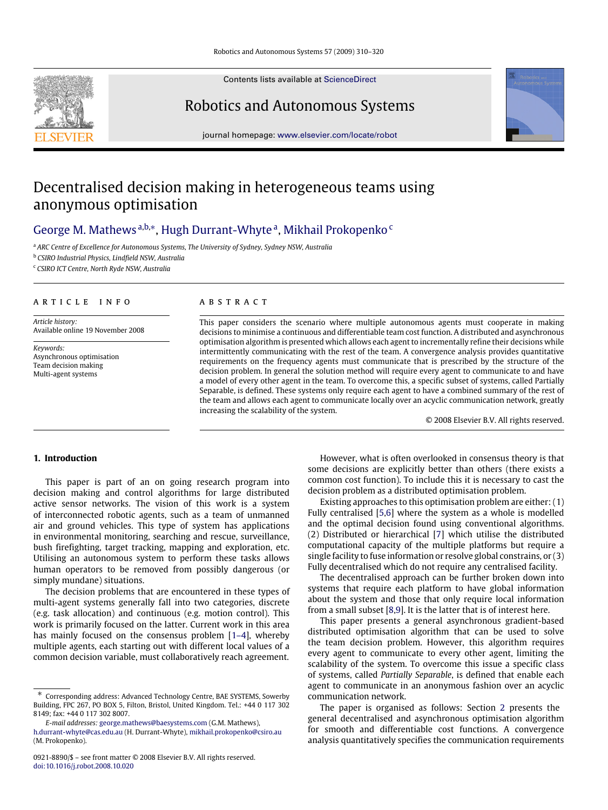Contents lists available at [ScienceDirect](http://www.elsevier.com/locate/robot)

# Robotics and Autonomous Systems

journal homepage: [www.elsevier.com/locate/robot](http://www.elsevier.com/locate/robot)

# Decentralised decision making in heterogeneous teams using anonymous optimisation

# George M. Mathews <sup>a,b,∗</sup>, Hugh Durrant-Whyte <sup>a</sup>, Mikhail Prokopenko <sup>c</sup>

<sup>a</sup> *ARC Centre of Excellence for Autonomous Systems, The University of Sydney, Sydney NSW, Australia*

<sup>b</sup> *CSIRO Industrial Physics, Lindfield NSW, Australia*

<sup>c</sup> *CSIRO ICT Centre, North Ryde NSW, Australia*

# A R T I C L E I N F O

*Article history:* Available online 19 November 2008

*Keywords:* Asynchronous optimisation Team decision making Multi-agent systems

#### A B S T R A C T

This paper considers the scenario where multiple autonomous agents must cooperate in making decisions to minimise a continuous and differentiable team cost function. A distributed and asynchronous optimisation algorithm is presented which allows each agent to incrementally refine their decisions while intermittently communicating with the rest of the team. A convergence analysis provides quantitative requirements on the frequency agents must communicate that is prescribed by the structure of the decision problem. In general the solution method will require every agent to communicate to and have a model of every other agent in the team. To overcome this, a specific subset of systems, called Partially Separable, is defined. These systems only require each agent to have a combined summary of the rest of the team and allows each agent to communicate locally over an acyclic communication network, greatly increasing the scalability of the system.

© 2008 Elsevier B.V. All rights reserved.

# **1. Introduction**

This paper is part of an on going research program into decision making and control algorithms for large distributed active sensor networks. The vision of this work is a system of interconnected robotic agents, such as a team of unmanned air and ground vehicles. This type of system has applications in environmental monitoring, searching and rescue, surveillance, bush firefighting, target tracking, mapping and exploration, etc. Utilising an autonomous system to perform these tasks allows human operators to be removed from possibly dangerous (or simply mundane) situations.

The decision problems that are encountered in these types of multi-agent systems generally fall into two categories, discrete (e.g. task allocation) and continuous (e.g. motion control). This work is primarily focused on the latter. Current work in this area has mainly focused on the consensus problem [1–4], whereby multiple agents, each starting out with different local values of a common decision variable, must collaboratively reach agreement.

However, what is often overlooked in consensus theory is that some decisions are explicitly better than others (there exists a common cost function). To include this it is necessary to cast the decision problem as a distributed optimisation problem.

Existing approaches to this optimisation problem are either: (1) Fully centralised [5,6] where the system as a whole is modelled and the optimal decision found using conventional algorithms. (2) Distributed or hierarchical [7] which utilise the distributed computational capacity of the multiple platforms but require a single facility to fuse information or resolve global constrains, or (3) Fully decentralised which do not require any centralised facility.

The decentralised approach can be further broken down into systems that require each platform to have global information about the system and those that only require local information from a small subset [8,9]. It is the latter that is of interest here.

This paper presents a general asynchronous gradient-based distributed optimisation algorithm that can be used to solve the team decision problem. However, this algorithm requires every agent to communicate to every other agent, limiting the scalability of the system. To overcome this issue a specific class of systems, called *Partially Separable*, is defined that enable each agent to communicate in an anonymous fashion over an acyclic communication network.

The paper is organised as follows: Section 2 presents the general decentralised and asynchronous optimisation algorithm for smooth and differentiable cost functions. A convergence analysis quantitatively specifies the communication requirements



Corresponding address: Advanced Technology Centre, BAE SYSTEMS, Sowerby Building, FPC 267, PO BOX 5, Filton, Bristol, United Kingdom. Tel.: +44 0 117 302 8149; fax: +44 0 117 302 8007.

*E-mail addresses:* [george.mathews@baesystems.com](mailto:george.mathews@baesystems.com) (G.M. Mathews),

[h.durrant-whyte@cas.edu.au](mailto:h.durrant-whyte@cas.edu.au) (H. Durrant-Whyte), [mikhail.prokopenko@csiro.au](mailto:mikhail.prokopenko@csiro.au) (M. Prokopenko).

<sup>0921-8890/\$ –</sup> see front matter © 2008 Elsevier B.V. All rights reserved. [doi:10.1016/j.robot.2008.10.020](http://dx.doi.org/10.1016/j.robot.2008.10.020)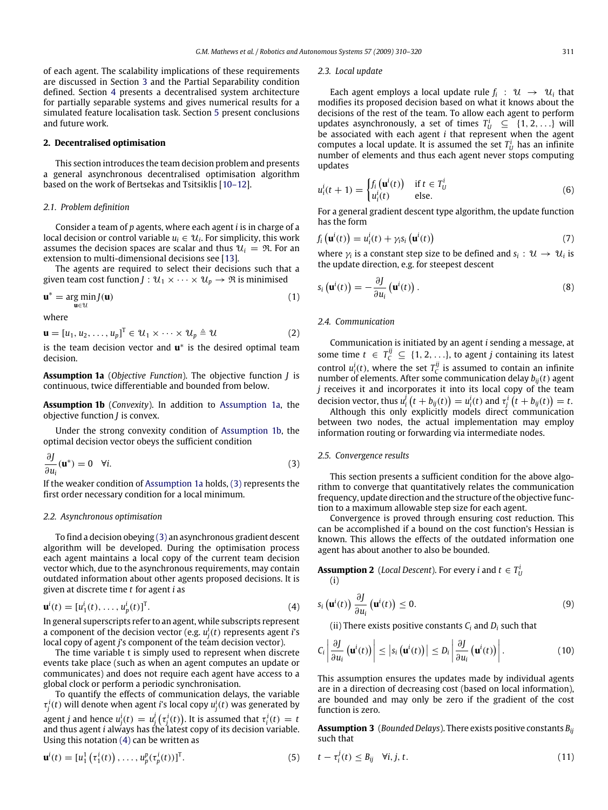of each agent. The scalability implications of these requirements are discussed in Section 3 and the Partial Separability condition defined. Section 4 presents a decentralised system architecture for partially separable systems and gives numerical results for a simulated feature localisation task. Section 5 present conclusions and future work.

# **2. Decentralised optimisation**

This section introduces the team decision problem and presents a general asynchronous decentralised optimisation algorithm based on the work of Bertsekas and Tsitsiklis [10–12].

### *2.1. Problem definition*

Consider a team of *p* agents, where each agent *i* is in charge of a local decision or control variable  $u_i \in \mathcal{U}_i$ . For simplicity, this work assumes the decision spaces are scalar and thus  $\mathcal{U}_i = \mathcal{R}$ . For an extension to multi-dimensional decisions see [13].

The agents are required to select their decisions such that a given team cost function *J* :  $U_1 \times \cdots \times U_p \rightarrow \Re$  is minimised

$$
\mathbf{u}^* = \underset{\mathbf{u} \in \mathcal{U}}{\arg \min} J(\mathbf{u}) \tag{1}
$$

where

$$
\mathbf{u} = [u_1, u_2, \dots, u_p]^T \in \mathcal{U}_1 \times \dots \times \mathcal{U}_p \triangleq \mathcal{U}
$$
 (2)

is the team decision vector and **u**<sup>∗</sup> is the desired optimal team decision.

**Assumption 1a** (*Objective Function*). The objective function *J* is continuous, twice differentiable and bounded from below.

**Assumption 1b** (*Convexity*). In addition to Assumption 1a, the objective function *J* is convex.

Under the strong convexity condition of Assumption 1b, the optimal decision vector obeys the sufficient condition

$$
\frac{\partial J}{\partial u_i}(\mathbf{u}^*) = 0 \quad \forall i. \tag{3}
$$

If the weaker condition of Assumption 1a holds, (3) represents the first order necessary condition for a local minimum.

#### *2.2. Asynchronous optimisation*

To find a decision obeying (3) an asynchronous gradient descent algorithm will be developed. During the optimisation process each agent maintains a local copy of the current team decision vector which, due to the asynchronous requirements, may contain outdated information about other agents proposed decisions. It is given at discrete time *t* for agent *i* as

$$
\mathbf{u}^{i}(t) = [u_{1}^{i}(t), \dots, u_{p}^{i}(t)]^{T}.
$$
 (4)

In general superscripts refer to an agent, while subscripts represent a component of the decision vector (e.g. *u i j* (*t*) represents agent *i*'s local copy of agent *j*'s component of the team decision vector).

The time variable t is simply used to represent when discrete events take place (such as when an agent computes an update or communicates) and does not require each agent have access to a global clock or perform a periodic synchronisation.

To quantify the effects of communication delays, the variable  $\tau_j^i(t)$  will denote when agent *i*'s local copy  $u_j^i(t)$  was generated by agent *j* and hence  $u^i_j(t) = u^j_j\left(\tau^i_j(t)\right)$ . It is assumed that  $\tau^i_i(t) = t$ and thus agent *i* always has the latest copy of its decision variable. Using this notation (4) can be written as

$$
\mathbf{u}^{i}(t) = [u_1^{1}(\tau_1^{i}(t)), \dots, u_p^{p}(\tau_p^{i}(t))]^{T}.
$$
\n
$$
(5)
$$

#### *2.3. Local update*

Each agent employs a local update rule  $f_i$  :  $\mathcal{U} \rightarrow \mathcal{U}_i$  that modifies its proposed decision based on what it knows about the decisions of the rest of the team. To allow each agent to perform updates asynchronously, a set of times  $T_U^i \subseteq \{1, 2, ...\}$  will be associated with each agent *i* that represent when the agent computes a local update. It is assumed the set  $T_U^i$  has an infinite number of elements and thus each agent never stops computing updates

$$
u_i^i(t+1) = \begin{cases} f_i(\mathbf{u}^i(t)) & \text{if } t \in T_U^i\\ u_i^i(t) & \text{else.} \end{cases}
$$
(6)

For a general gradient descent type algorithm, the update function has the form

$$
f_i\left(\mathbf{u}^i(t)\right) = u_i^i(t) + \gamma_i s_i\left(\mathbf{u}^i(t)\right) \tag{7}
$$

where  $\gamma_i$  is a constant step size to be defined and  $s_i: \mathcal{U} \to \mathcal{U}_i$  is the update direction, e.g. for steepest descent

$$
s_i\left(\mathbf{u}^i(t)\right) = -\frac{\partial J}{\partial u_i}\left(\mathbf{u}^i(t)\right). \tag{8}
$$

# *2.4. Communication*

Communication is initiated by an agent *i* sending a message, at some time  $t \in T_C^{ij} \subseteq \{1, 2, \ldots\}$ , to agent *j* containing its latest control  $u_i^i(t)$ , where the set  $T_c^{ij}$  is assumed to contain an infinite number of elements. After some communication delay  $b_{ij}(t)$  agent *j* receives it and incorporates it into its local copy of the team decision vector, thus  $u_i^j(t + b_{ij}(t)) = u_i^i(t)$  and  $\tau_j^i(t + b_{ij}(t)) = t$ .

Although this only explicitly models direct communication between two nodes, the actual implementation may employ information routing or forwarding via intermediate nodes.

#### *2.5. Convergence results*

This section presents a sufficient condition for the above algorithm to converge that quantitatively relates the communication frequency, update direction and the structure of the objective function to a maximum allowable step size for each agent.

Convergence is proved through ensuring cost reduction. This can be accomplished if a bound on the cost function's Hessian is known. This allows the effects of the outdated information one agent has about another to also be bounded.

**Assumption 2** (*Local Descent*). For every *i* and  $t \in T_U^i$ 

(i)

$$
s_i\left(\mathbf{u}^i(t)\right)\frac{\partial J}{\partial u_i}\left(\mathbf{u}^i(t)\right)\leq 0.
$$
\n(9)

(ii) There exists positive constants  $C_i$  and  $D_i$  such that

$$
C_i \left| \frac{\partial J}{\partial u_i} \left( \mathbf{u}^i(t) \right) \right| \leq \left| s_i \left( \mathbf{u}^i(t) \right) \right| \leq D_i \left| \frac{\partial J}{\partial u_i} \left( \mathbf{u}^i(t) \right) \right|.
$$
 (10)

This assumption ensures the updates made by individual agents are in a direction of decreasing cost (based on local information), are bounded and may only be zero if the gradient of the cost function is zero.

**Assumption 3** (*Bounded Delays*). There exists positive constants *Bij* such that

$$
t - \tau_i^j(t) \leq B_{ij} \quad \forall i, j, t. \tag{11}
$$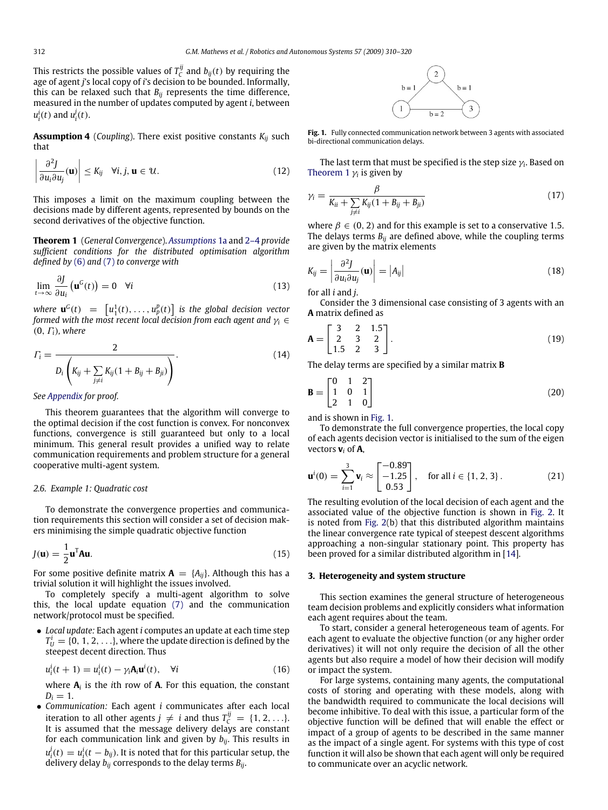This restricts the possible values of  $T_c^{ij}$  and  $b_{ij}(t)$  by requiring the age of agent *j*'s local copy of *i*'s decision to be bounded. Informally, this can be relaxed such that  $B_{ij}$  represents the time difference, measured in the number of updates computed by agent *i*, between  $u_i^i(t)$  and  $u_i^j(t)$ .

**Assumption 4** (*Coupling*). There exist positive constants *Kij* such that

$$
\left|\frac{\partial^2 J}{\partial u_i \partial u_j}(\mathbf{u})\right| \le K_{ij} \quad \forall i, j, \mathbf{u} \in \mathcal{U}.
$$
 (12)

This imposes a limit on the maximum coupling between the decisions made by different agents, represented by bounds on the second derivatives of the objective function.

**Theorem 1** (*General Convergence*). *Assumptions* 1a and 2–4 *provide sufficient conditions for the distributed optimisation algorithm defined by* (6) and (7) *to converge with*

$$
\lim_{t \to \infty} \frac{\partial J}{\partial u_i} \left( \mathbf{u}^G(t) \right) = 0 \quad \forall i
$$
\n(13)

*where*  $\mathbf{u}^G(t) = [u_1^1(t), \ldots, u_p^p(t)]$  is the global decision vector *formed with the most recent local decision from each agent and*  $\gamma_i \in$ (0, Γ*i*)*, where*

$$
\Gamma_{i} = \frac{2}{D_{i}\left(K_{ij} + \sum_{j \neq i} K_{ij}(1 + B_{ij} + B_{ji})\right)}.
$$
\n(14)

### *See Appendix for proof.*

This theorem guarantees that the algorithm will converge to the optimal decision if the cost function is convex. For nonconvex functions, convergence is still guaranteed but only to a local minimum. This general result provides a unified way to relate communication requirements and problem structure for a general cooperative multi-agent system.

# *2.6. Example 1: Quadratic cost*

To demonstrate the convergence properties and communication requirements this section will consider a set of decision makers minimising the simple quadratic objective function

$$
J(\mathbf{u}) = \frac{1}{2} \mathbf{u}^{\mathrm{T}} \mathbf{A} \mathbf{u}.\tag{15}
$$

For some positive definite matrix  $\mathbf{A} = \{A_{ij}\}\$ . Although this has a trivial solution it will highlight the issues involved.

To completely specify a multi-agent algorithm to solve this, the local update equation (7) and the communication network/protocol must be specified.

• *Local update:* Each agent *i* computes an update at each time step  $T_U^i = \{0, 1, 2, \ldots\}$ , where the update direction is defined by the steepest decent direction. Thus

$$
u_i^i(t+1) = u_i^i(t) - \gamma_i \mathbf{A}_i \mathbf{u}^i(t), \quad \forall i
$$
\n(16)

where **A***<sup>i</sup>* is the *i*th row of **A**. For this equation, the constant  $D_i = 1$ .

• *Communication:* Each agent *i* communicates after each local iteration to all other agents  $j \neq i$  and thus  $T_{\mathcal{C}}^{ij} = \{1, 2, \ldots\}$ . It is assumed that the message delivery delays are constant for each communication link and given by *bij*. This results in  $u^j_i(t) = u^i_i(t - b_{ij})$ . It is noted that for this particular setup, the delivery delay *bij* corresponds to the delay terms *Bij*.



**Fig. 1.** Fully connected communication network between 3 agents with associated bi-directional communication delays.

The last term that must be specified is the step size  $\gamma_i$ . Based on Theorem 1  $\gamma_i$  is given by

$$
\gamma_i = \frac{\beta}{K_{ii} + \sum_{j \neq i} K_{ij} (1 + B_{ij} + B_{ji})}
$$
\n(17)

where  $\beta \in (0, 2)$  and for this example is set to a conservative 1.5. The delays terms  $B_{ii}$  are defined above, while the coupling terms are given by the matrix elements

$$
K_{ij} = \left| \frac{\partial^2 J}{\partial u_i \partial u_j}(\mathbf{u}) \right| = |A_{ij}| \tag{18}
$$

for all *i* and *j*.

Consider the 3 dimensional case consisting of 3 agents with an **A** matrix defined as

$$
\mathbf{A} = \begin{bmatrix} 3 & 2 & 1.5 \\ 2 & 3 & 2 \\ 1.5 & 2 & 3 \end{bmatrix} . \tag{19}
$$

The delay terms are specified by a similar matrix **B**

$$
\mathbf{B} = \begin{bmatrix} 0 & 1 & 2 \\ 1 & 0 & 1 \\ 2 & 1 & 0 \end{bmatrix}
$$
 (20)

and is shown in Fig. 1.

To demonstrate the full convergence properties, the local copy of each agents decision vector is initialised to the sum of the eigen vectors **v***<sup>i</sup>* of **A**,

$$
\mathbf{u}^{i}(0) = \sum_{i=1}^{3} \mathbf{v}_{i} \approx \begin{bmatrix} -0.89\\ -1.25\\ 0.53 \end{bmatrix}, \text{ for all } i \in \{1, 2, 3\}. \tag{21}
$$

The resulting evolution of the local decision of each agent and the associated value of the objective function is shown in Fig. 2. It is noted from Fig. 2(b) that this distributed algorithm maintains the linear convergence rate typical of steepest descent algorithms approaching a non-singular stationary point. This property has been proved for a similar distributed algorithm in [14].

#### **3. Heterogeneity and system structure**

This section examines the general structure of heterogeneous team decision problems and explicitly considers what information each agent requires about the team.

To start, consider a general heterogeneous team of agents. For each agent to evaluate the objective function (or any higher order derivatives) it will not only require the decision of all the other agents but also require a model of how their decision will modify or impact the system.

For large systems, containing many agents, the computational costs of storing and operating with these models, along with the bandwidth required to communicate the local decisions will become inhibitive. To deal with this issue, a particular form of the objective function will be defined that will enable the effect or impact of a group of agents to be described in the same manner as the impact of a single agent. For systems with this type of cost function it will also be shown that each agent will only be required to communicate over an acyclic network.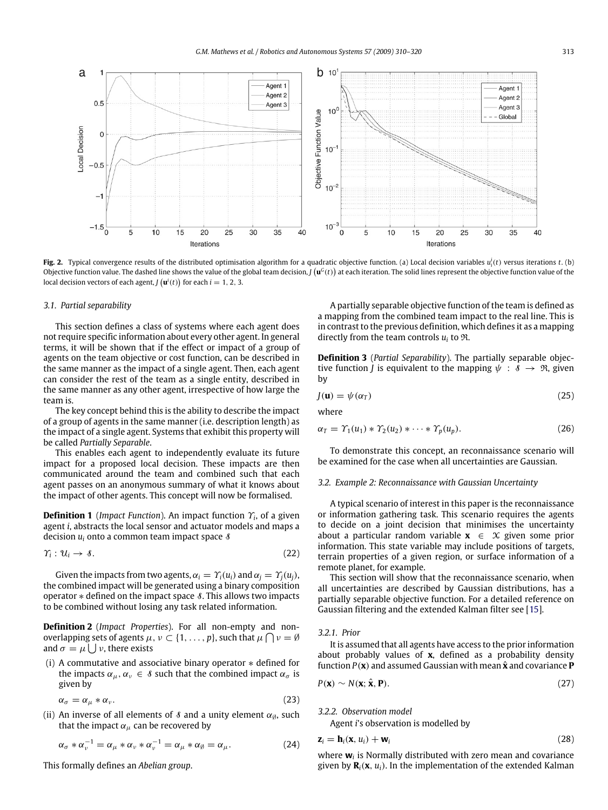

**Fig. 2.** Typical convergence results of the distributed optimisation algorithm for a quadratic objective function. (a) Local decision variables *u i i* (*t*) versus iterations *t*. (b) Objective function value. The dashed line shows the value of the global team decision,  $\bm{J}(\bm{u}^G(t))$  at each iteration. The solid lines represent the objective function value of the local decision vectors of each agent, *J*  $(\mathbf{u}^i(t))$  for each  $i = 1, 2, 3$ .

#### *3.1. Partial separability*

This section defines a class of systems where each agent does not require specific information about every other agent. In general terms, it will be shown that if the effect or impact of a group of agents on the team objective or cost function, can be described in the same manner as the impact of a single agent. Then, each agent can consider the rest of the team as a single entity, described in the same manner as any other agent, irrespective of how large the team is.

The key concept behind this is the ability to describe the impact of a group of agents in the same manner (i.e. description length) as the impact of a single agent. Systems that exhibit this property will be called *Partially Separable*.

This enables each agent to independently evaluate its future impact for a proposed local decision. These impacts are then communicated around the team and combined such that each agent passes on an anonymous summary of what it knows about the impact of other agents. This concept will now be formalised.

**Definition 1** (*Impact Function*). An impact function Υ*<sup>i</sup>* , of a given agent *i*, abstracts the local sensor and actuator models and maps a decision  $u_i$  onto a common team impact space  $\delta$ 

$$
\gamma_i: \mathcal{U}_i \to \mathcal{S}.\tag{22}
$$

Given the impacts from two agents,  $\alpha_i = \gamma_i(u_i)$  and  $\alpha_i = \gamma_i(u_i)$ , the combined impact will be generated using a binary composition operator \* defined on the impact space *§*. This allows two impacts to be combined without losing any task related information.

**Definition 2** (*Impact Properties*). For all non-empty and nonoverlapping sets of agents  $\mu$ ,  $\nu \subset \{1, \ldots, p\}$ , such that  $\mu \cap \nu = \emptyset$ and  $\sigma = \mu \bigcup \nu$ , there exists

(i) A commutative and associative binary operator ∗ defined for the impacts  $\alpha_{\mu}, \alpha_{\nu} \in \mathcal{S}$  such that the combined impact  $\alpha_{\sigma}$  is given by

$$
\alpha_{\sigma} = \alpha_{\mu} * \alpha_{\nu}.
$$
 (23)

(ii) An inverse of all elements of  $\delta$  and a unity element  $\alpha_{\emptyset}$ , such that the impact  $\alpha_{\mu}$  can be recovered by

$$
\alpha_{\sigma} * \alpha_{\nu}^{-1} = \alpha_{\mu} * \alpha_{\nu} * \alpha_{\nu}^{-1} = \alpha_{\mu} * \alpha_{\emptyset} = \alpha_{\mu}.
$$
 (24)

This formally defines an *Abelian group*.

A partially separable objective function of the team is defined as a mapping from the combined team impact to the real line. This is in contrast to the previous definition, which defines it as a mapping directly from the team controls *u<sup>i</sup>* to R.

**Definition 3** (*Partial Separability*). The partially separable objective function *J* is equivalent to the mapping  $\psi : \mathcal{S} \to \mathcal{R}$ , given by

$$
J(\mathbf{u}) = \psi(\alpha_T) \tag{25}
$$

where

$$
\alpha_T = \Upsilon_1(u_1) * \Upsilon_2(u_2) * \cdots * \Upsilon_p(u_p). \tag{26}
$$

To demonstrate this concept, an reconnaissance scenario will be examined for the case when all uncertainties are Gaussian.

# *3.2. Example 2: Reconnaissance with Gaussian Uncertainty*

A typical scenario of interest in this paper is the reconnaissance or information gathering task. This scenario requires the agents to decide on a joint decision that minimises the uncertainty about a particular random variable  $x \in \mathcal{X}$  given some prior information. This state variable may include positions of targets, terrain properties of a given region, or surface information of a remote planet, for example.

This section will show that the reconnaissance scenario, when all uncertainties are described by Gaussian distributions, has a partially separable objective function. For a detailed reference on Gaussian filtering and the extended Kalman filter see [15].

#### *3.2.1. Prior*

It is assumed that all agents have access to the prior information about probably values of **x**, defined as a probability density function  $P(x)$  and assumed Gaussian with mean  $\hat{x}$  and covariance **P** 

$$
P(\mathbf{x}) \sim N(\mathbf{x}; \hat{\mathbf{x}}, \mathbf{P}).
$$
 (27)

*3.2.2. Observation model*

Agent *i*'s observation is modelled by

$$
\mathbf{z}_i = \mathbf{h}_i(\mathbf{x}, u_i) + \mathbf{w}_i \tag{28}
$$

where **w***<sup>i</sup>* is Normally distributed with zero mean and covariance given by  $\mathbf{R}_i(\mathbf{x}, u_i)$ . In the implementation of the extended Kalman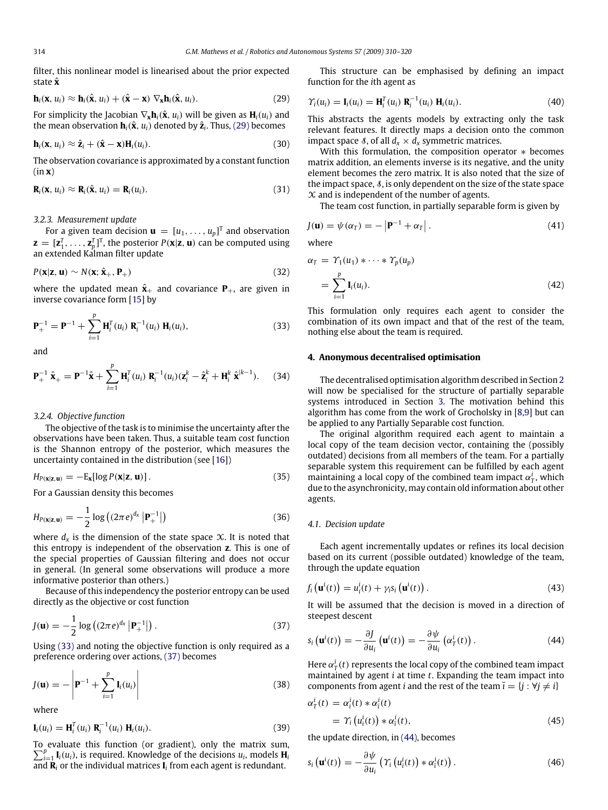filter, this nonlinear model is linearised about the prior expected state **x**ˆ

$$
\mathbf{h}_i(\mathbf{x}, u_i) \approx \mathbf{h}_i(\hat{\mathbf{x}}, u_i) + (\hat{\mathbf{x}} - \mathbf{x}) \nabla_{\mathbf{x}} \mathbf{h}_i(\hat{\mathbf{x}}, u_i).
$$
 (29)

For simplicity the Jacobian  $\nabla_{\mathbf{x}} \mathbf{h}_i(\hat{\mathbf{x}}, u_i)$  will be given as  $\mathbf{H}_i(u_i)$  and the mean observation  $\mathbf{h}_i(\hat{\mathbf{x}},u_i)$  denoted by  $\hat{\mathbf{z}}_i$ . Thus, (29) becomes

$$
\mathbf{h}_i(\mathbf{x}, u_i) \approx \hat{\mathbf{z}}_i + (\hat{\mathbf{x}} - \mathbf{x}) \mathbf{H}_i(u_i).
$$
 (30)

The observation covariance is approximated by a constant function (in **x**)

$$
\mathbf{R}_i(\mathbf{x}, u_i) \approx \mathbf{R}_i(\hat{\mathbf{x}}, u_i) = \mathbf{R}_i(u_i).
$$
 (31)

# *3.2.3. Measurement update*

For a given team decision  $\mathbf{u} = [u_1, \dots, u_p]^T$  and observation  $\mathbf{z} = [\mathbf{z}_1^T, \dots, \mathbf{z}_p^T]^T$ , the posterior  $P(\mathbf{x}|\mathbf{z}, \mathbf{u})$  can be computed using an extended Kalman filter update

$$
P(\mathbf{x}|\mathbf{z}, \mathbf{u}) \sim N(\mathbf{x}; \hat{\mathbf{x}}_{+}, \mathbf{P}_{+})
$$
\n(32)

where the updated mean  $\hat{\mathbf{x}}_+$  and covariance  $\mathbf{P}_+$ , are given in inverse covariance form [15] by

$$
\mathbf{P}_{+}^{-1} = \mathbf{P}^{-1} + \sum_{i=1}^{p} \mathbf{H}_{i}^{T}(u_{i}) \mathbf{R}_{i}^{-1}(u_{i}) \mathbf{H}_{i}(u_{i}), \qquad (33)
$$

and

$$
\mathbf{P}_{+}^{-1} \hat{\mathbf{x}}_{+} = \mathbf{P}^{-1} \hat{\mathbf{x}} + \sum_{i=1}^{p} \mathbf{H}_{i}^{T}(u_{i}) \mathbf{R}_{i}^{-1}(u_{i}) (\mathbf{z}_{i}^{k} - \hat{\mathbf{z}}_{i}^{k} + \mathbf{H}_{i}^{k} \hat{\mathbf{x}}^{k-1}). \tag{34}
$$

#### *3.2.4. Objective function*

The objective of the task is to minimise the uncertainty after the observations have been taken. Thus, a suitable team cost function is the Shannon entropy of the posterior, which measures the uncertainty contained in the distribution (see [16])

$$
H_{P(\mathbf{x}|\mathbf{z},\mathbf{u})} = -\mathrm{E}_{\mathbf{x}}[\log P(\mathbf{x}|\mathbf{z},\mathbf{u})]. \tag{35}
$$

For a Gaussian density this becomes

$$
H_{P(\mathbf{x}|\mathbf{z},\mathbf{u})} = -\frac{1}{2} \log \left( (2\pi e)^{d_x} \left| \mathbf{P}_+^{-1} \right| \right) \tag{36}
$$

where  $d_\mathsf{x}$  is the dimension of the state space  $\mathcal X.$  It is noted that this entropy is independent of the observation **z**. This is one of the special properties of Gaussian filtering and does not occur in general. (In general some observations will produce a more informative posterior than others.)

Because of this independency the posterior entropy can be used directly as the objective or cost function

$$
J(\mathbf{u}) = -\frac{1}{2}\log((2\pi e)^{d_x} |\mathbf{P}_+^{-1}|). \tag{37}
$$

Using (33) and noting the objective function is only required as a preference ordering over actions, (37) becomes

$$
J(\mathbf{u}) = -\left|\mathbf{P}^{-1} + \sum_{i=1}^{p} \mathbf{I}_i(u_i)\right| \tag{38}
$$

where

 $\mathbf{I}_i(u_i) = \mathbf{H}_i^T(u_i) \mathbf{R}_i^{-1}(u_i) \mathbf{H}_i(u_i).$  (39)

To evaluate this function (or gradient), only the matrix sum,  $\sum_{i=1}^{p} \mathbf{I}_i(u_i)$ , is required. Knowledge of the decisions  $u_i$ , models  $\mathbf{H}_i$ and **R***<sup>i</sup>* or the individual matrices **I***<sup>i</sup>* from each agent is redundant.

This structure can be emphasised by defining an impact function for the *i*th agent as

$$
\Upsilon_i(u_i) = \mathbf{I}_i(u_i) = \mathbf{H}_i^T(u_i) \mathbf{R}_i^{-1}(u_i) \mathbf{H}_i(u_i).
$$
 (40)

This abstracts the agents models by extracting only the task relevant features. It directly maps a decision onto the common impact space *§*, of all  $d_x \times d_x$  symmetric matrices.

With this formulation, the composition operator ∗ becomes matrix addition, an elements inverse is its negative, and the unity element becomes the zero matrix. It is also noted that the size of the impact space,  $\delta$ , is only dependent on the size of the state space  $X$  and is independent of the number of agents.

The team cost function, in partially separable form is given by

$$
J(\mathbf{u}) = \psi(\alpha_T) = -\left|\mathbf{P}^{-1} + \alpha_T\right|.
$$
 (41)

where

$$
\alpha_T = \gamma_1(u_1) * \cdots * \gamma_p(u_p)
$$
  
= 
$$
\sum_{i=1}^p \mathbf{I}_i(u_i).
$$
 (42)

This formulation only requires each agent to consider the combination of its own impact and that of the rest of the team, nothing else about the team is required.

# **4. Anonymous decentralised optimisation**

The decentralised optimisation algorithm described in Section 2 will now be specialised for the structure of partially separable systems introduced in Section 3. The motivation behind this algorithm has come from the work of Grocholsky in [8,9] but can be applied to any Partially Separable cost function.

The original algorithm required each agent to maintain a local copy of the team decision vector, containing the (possibly outdated) decisions from all members of the team. For a partially separable system this requirement can be fulfilled by each agent maintaining a local copy of the combined team impact  $\alpha_T^i$ , which due to the asynchronicity, may contain old information about other agents.

# *4.1. Decision update*

Each agent incrementally updates or refines its local decision based on its current (possible outdated) knowledge of the team, through the update equation

$$
f_i\left(\mathbf{u}^i(t)\right) = u_i^i(t) + \gamma_i s_i\left(\mathbf{u}^i(t)\right). \tag{43}
$$

It will be assumed that the decision is moved in a direction of steepest descent

$$
s_i\left(\mathbf{u}^i(t)\right) = -\frac{\partial J}{\partial u_i}\left(\mathbf{u}^i(t)\right) = -\frac{\partial \psi}{\partial u_i}\left(\alpha^i_T(t)\right). \tag{44}
$$

Here  $\alpha^i_T(t)$  represents the local copy of the combined team impact maintained by agent *i* at time *t*. Expanding the team impact into components from agent *i* and the rest of the team  $\overline{i} = \{j : \forall j \neq i\}$ 

$$
\alpha_{T}^{i}(t) = \alpha_{i}^{i}(t) * \alpha_{\bar{i}}^{i}(t)
$$
  
=  $\gamma_{i} (\mu_{i}^{i}(t)) * \alpha_{\bar{i}}^{i}(t),$  (45)

the update direction, in (44), becomes

∂ψ

$$
s_i\left(\mathbf{u}^i(t)\right) = -\frac{\partial \psi}{\partial u_i}\left(\gamma_i\left(u^i_i(t)\right) * \alpha^i_i(t)\right). \tag{46}
$$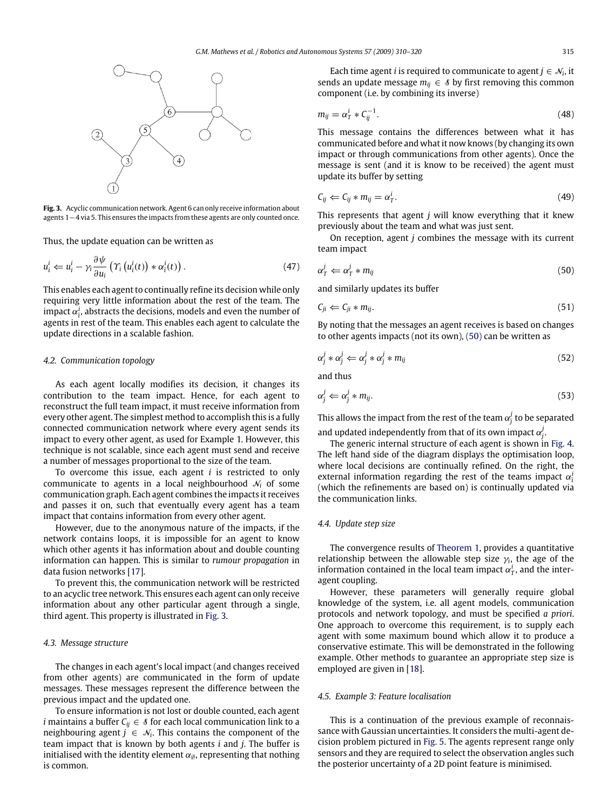

**Fig. 3.** Acyclic communication network. Agent 6 can only receive information about agents 1−4 via 5. This ensures the impacts from these agents are only counted once.

Thus, the update equation can be written as

$$
u_i^i \leftarrow u_i^i - \gamma_i \frac{\partial \psi}{\partial u_i} \left( \gamma_i \left( u_i^i(t) \right) * \alpha_i^i(t) \right). \tag{47}
$$

This enables each agent to continually refine its decision while only requiring very little information about the rest of the team. The impact  $\alpha_{\bar{i}}^i$ , abstracts the decisions, models and even the number of agents in rest of the team. This enables each agent to calculate the update directions in a scalable fashion.

### *4.2. Communication topology*

As each agent locally modifies its decision, it changes its contribution to the team impact. Hence, for each agent to reconstruct the full team impact, it must receive information from every other agent. The simplest method to accomplish this is a fully connected communication network where every agent sends its impact to every other agent, as used for Example 1. However, this technique is not scalable, since each agent must send and receive a number of messages proportional to the size of the team.

To overcome this issue, each agent *i* is restricted to only communicate to agents in a local neighbourhood N*<sup>i</sup>* of some communication graph. Each agent combines the impacts it receives and passes it on, such that eventually every agent has a team impact that contains information from every other agent.

However, due to the anonymous nature of the impacts, if the network contains loops, it is impossible for an agent to know which other agents it has information about and double counting information can happen. This is similar to *rumour propagation* in data fusion networks [17].

To prevent this, the communication network will be restricted to an acyclic tree network. This ensures each agent can only receive information about any other particular agent through a single, third agent. This property is illustrated in Fig. 3.

# *4.3. Message structure*

The changes in each agent's local impact (and changes received from other agents) are communicated in the form of update messages. These messages represent the difference between the previous impact and the updated one.

To ensure information is not lost or double counted, each agent *i* maintains a buffer  $C_{ij} \in \mathcal{S}$  for each local communication link to a neighbouring agent  $j \in \mathcal{N}_i$ . This contains the component of the team impact that is known by both agents *i* and *j*. The buffer is initialised with the identity element  $\alpha_{\emptyset}$ , representing that nothing is common.

Each time agent *i* is required to communicate to agent  $j \in \mathcal{N}_i$ , it sends an update message  $m_{ij} \in \mathcal{S}$  by first removing this common component (i.e. by combining its inverse)

$$
m_{ij} = \alpha_T^i * C_{ij}^{-1}.
$$
\n(48)

This message contains the differences between what it has communicated before and what it now knows (by changing its own impact or through communications from other agents). Once the message is sent (and it is know to be received) the agent must update its buffer by setting

$$
C_{ij} \leftarrow C_{ij} * m_{ij} = \alpha_T^i. \tag{49}
$$

This represents that agent *j* will know everything that it knew previously about the team and what was just sent.

On reception, agent *j* combines the message with its current team impact

$$
\alpha_T^j \leftarrow \alpha_T^j * m_{ij} \tag{50}
$$

and similarly updates its buffer

$$
C_{ji} \leftarrow C_{ji} * m_{ij}.
$$
\n
$$
(51)
$$

By noting that the messages an agent receives is based on changes to other agents impacts (not its own), (50) can be written as

$$
\alpha_j^j * \alpha_j^j \Leftarrow \alpha_j^j * \alpha_j^j * m_{ij} \tag{52}
$$

and thus

$$
\alpha_j^j \Leftarrow \alpha_j^j * m_{ij}.\tag{53}
$$

This allows the impact from the rest of the team  $\alpha_j^j$  to be separated and updated independently from that of its own impact  $\alpha_j^j$ .

The generic internal structure of each agent is shown in Fig. 4. The left hand side of the diagram displays the optimisation loop, where local decisions are continually refined. On the right, the external information regarding the rest of the teams impact  $\alpha_i^j$ (which the refinements are based on) is continually updated via the communication links.

# *4.4. Update step size*

The convergence results of Theorem 1, provides a quantitative relationship between the allowable step size  $\gamma_i$ , the age of the information contained in the local team impact  $\alpha_T^i$ , and the interagent coupling.

However, these parameters will generally require global knowledge of the system, i.e. all agent models, communication protocols and network topology, and must be specified *a priori*. One approach to overcome this requirement, is to supply each agent with some maximum bound which allow it to produce a conservative estimate. This will be demonstrated in the following example. Other methods to guarantee an appropriate step size is employed are given in [18].

# *4.5. Example 3: Feature localisation*

This is a continuation of the previous example of reconnaissance with Gaussian uncertainties. It considers the multi-agent decision problem pictured in Fig. 5. The agents represent range only sensors and they are required to select the observation angles such the posterior uncertainty of a 2D point feature is minimised.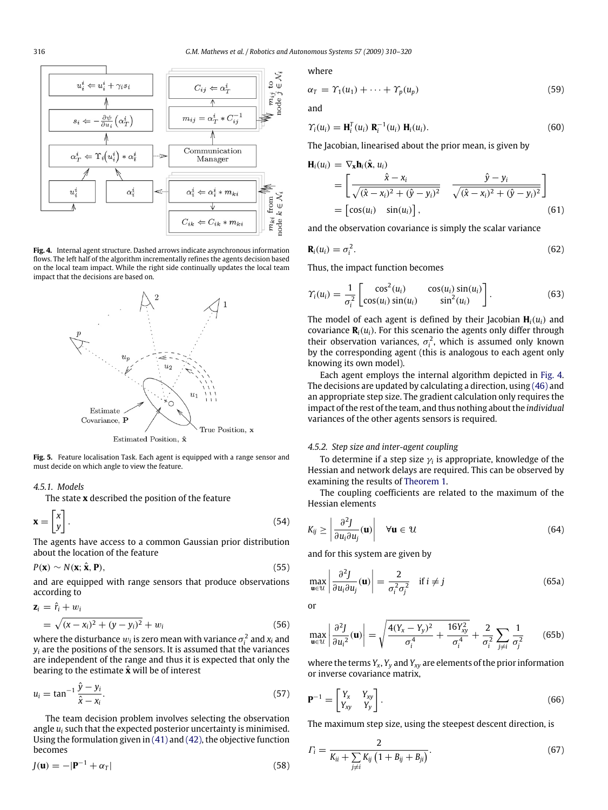

**Fig. 4.** Internal agent structure. Dashed arrows indicate asynchronous information flows. The left half of the algorithm incrementally refines the agents decision based on the local team impact. While the right side continually updates the local team impact that the decisions are based on.



**Fig. 5.** Feature localisation Task. Each agent is equipped with a range sensor and must decide on which angle to view the feature.

# *4.5.1. Models*

The state **x** described the position of the feature

$$
\mathbf{x} = \begin{bmatrix} x \\ y \end{bmatrix} . \tag{54}
$$

The agents have access to a common Gaussian prior distribution about the location of the feature

$$
P(\mathbf{x}) \sim N(\mathbf{x}; \hat{\mathbf{x}}, \mathbf{P}),\tag{55}
$$

and are equipped with range sensors that produce observations according to

$$
\mathbf{z}_{i} = \hat{r}_{i} + w_{i}
$$
  
=  $\sqrt{(x - x_{i})^{2} + (y - y_{i})^{2}} + w_{i}$  (56)

where the disturbance  $w_i$  is zero mean with variance  $\sigma_i^2$  and  $x_i$  and  $y_i$  are the positions of the sensors. It is assumed that the variances are independent of the range and thus it is expected that only the bearing to the estimate  $\hat{\mathbf{x}}$  will be of interest

$$
u_i = \tan^{-1} \frac{\hat{y} - y_i}{\hat{x} - x_i}.
$$
\n
$$
(57)
$$

The team decision problem involves selecting the observation angle *u<sup>i</sup>* such that the expected posterior uncertainty is minimised. Using the formulation given in (41) and (42), the objective function becomes

$$
J(\mathbf{u}) = -|\mathbf{P}^{-1} + \alpha_T| \tag{58}
$$

where

$$
\alpha_T = \Upsilon_1(u_1) + \cdots + \Upsilon_p(u_p) \tag{59}
$$

and

$$
\gamma_i(u_i) = \mathbf{H}_i^T(u_i) \mathbf{R}_i^{-1}(u_i) \mathbf{H}_i(u_i).
$$
\n(60)

The Jacobian, linearised about the prior mean, is given by

$$
\mathbf{H}_{i}(u_{i}) = \nabla_{\mathbf{x}} \mathbf{h}_{i}(\hat{\mathbf{x}}, u_{i})
$$
\n
$$
= \begin{bmatrix}\n\hat{\mathbf{x}} - x_{i} & \hat{\mathbf{y}} - y_{i} \\
\sqrt{(\hat{\mathbf{x}} - x_{i})^{2} + (\hat{\mathbf{y}} - y_{i})^{2}} & \sqrt{(\hat{\mathbf{x}} - x_{i})^{2} + (\hat{\mathbf{y}} - y_{i})^{2}}\n\end{bmatrix}
$$
\n
$$
= \begin{bmatrix}\n\cos(u_{i}) & \sin(u_{i})\n\end{bmatrix},
$$
\n(61)

and the observation covariance is simply the scalar variance

$$
\mathbf{R}_i(u_i) = \sigma_i^2. \tag{62}
$$

Thus, the impact function becomes

$$
\gamma_i(u_i) = \frac{1}{\sigma_i^2} \begin{bmatrix} \cos^2(u_i) & \cos(u_i)\sin(u_i) \\ \cos(u_i)\sin(u_i) & \sin^2(u_i) \end{bmatrix} . \tag{63}
$$

The model of each agent is defined by their Jacobian  $H_i(u_i)$  and covariance  $\mathbf{R}_i(u_i)$ . For this scenario the agents only differ through their observation variances,  $\sigma_i^2$ , which is assumed only known by the corresponding agent (this is analogous to each agent only knowing its own model).

Each agent employs the internal algorithm depicted in Fig. 4. The decisions are updated by calculating a direction, using (46) and an appropriate step size. The gradient calculation only requires the impact of the rest of the team, and thus nothing about the *individual* variances of the other agents sensors is required.

# *4.5.2. Step size and inter-agent coupling*

To determine if a step size  $\gamma_i$  is appropriate, knowledge of the Hessian and network delays are required. This can be observed by examining the results of Theorem 1.

The coupling coefficients are related to the maximum of the Hessian elements

$$
K_{ij} \ge \left| \frac{\partial^2 J}{\partial u_i \partial u_j}(\mathbf{u}) \right| \quad \forall \mathbf{u} \in \mathcal{U}
$$
 (64)

and for this system are given by

$$
\max_{\mathbf{u}\in\mathcal{U}}\left|\frac{\partial^2 J}{\partial u_i \partial u_j}(\mathbf{u})\right| = \frac{2}{\sigma_i^2 \sigma_j^2} \quad \text{if } i \neq j \tag{65a}
$$

or

$$
\max_{\mathbf{u}\in\mathcal{U}}\left|\frac{\partial^2 J}{\partial u_i^2}(\mathbf{u})\right| = \sqrt{\frac{4(Y_x - Y_y)^2}{\sigma_i^4} + \frac{16Y_{xy}^2}{\sigma_i^4} + \frac{2}{\sigma_i^2}\sum_{j\neq i}\frac{1}{\sigma_j^2}}
$$
(65b)

where the terms *Y<sup>x</sup>* , *Y<sup>y</sup>* and *Yxy* are elements of the prior information or inverse covariance matrix,

$$
\mathbf{P}^{-1} = \begin{bmatrix} Y_x & Y_{xy} \\ Y_{xy} & Y_y \end{bmatrix} . \tag{66}
$$

The maximum step size, using the steepest descent direction, is

$$
\Gamma_{i} = \frac{2}{K_{ii} + \sum_{j \neq i} K_{ij} \left( 1 + B_{ij} + B_{ji} \right)}.
$$
\n(67)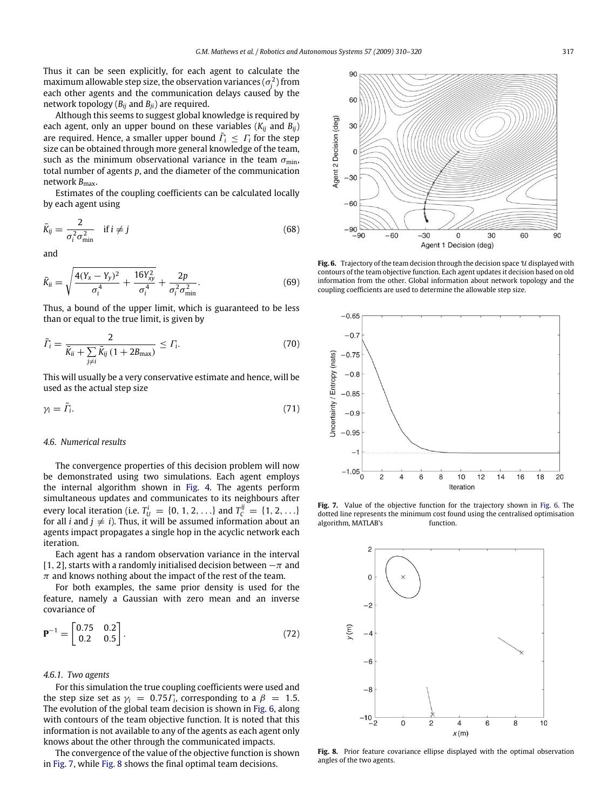Thus it can be seen explicitly, for each agent to calculate the maximum allowable step size, the observation variances  $(\sigma_j^2)$  from each other agents and the communication delays caused by the network topology  $(B_{ii}$  and  $B_{ii}$ ) are required.

Although this seems to suggest global knowledge is required by each agent, only an upper bound on these variables (*Kij* and *Bij*) are required. Hence, a smaller upper bound  $\bar{\Gamma}_i \leq \Gamma_i$  for the step size can be obtained through more general knowledge of the team, such as the minimum observational variance in the team  $\sigma_{\text{min}}$ , total number of agents *p*, and the diameter of the communication network  $B_{\text{max}}$ .

Estimates of the coupling coefficients can be calculated locally by each agent using

$$
\bar{K}_{ij} = \frac{2}{\sigma_i^2 \sigma_{\min}^2} \quad \text{if } i \neq j \tag{68}
$$

and

$$
\bar{K}_{ii} = \sqrt{\frac{4(Y_x - Y_y)^2}{\sigma_i^4} + \frac{16Y_{xy}^2}{\sigma_i^4}} + \frac{2p}{\sigma_i^2 \sigma_{\min}^2}.
$$
\n(69)

Thus, a bound of the upper limit, which is guaranteed to be less than or equal to the true limit, is given by

$$
\bar{\Gamma}_i = \frac{2}{\bar{K}_{ii} + \sum_{j \neq i} \bar{K}_{ij} (1 + 2B_{\text{max}})} \le \Gamma_i.
$$
 (70)

This will usually be a very conservative estimate and hence, will be used as the actual step size

$$
\gamma_i = \bar{\varGamma}_i. \tag{71}
$$

# *4.6. Numerical results*

The convergence properties of this decision problem will now be demonstrated using two simulations. Each agent employs the internal algorithm shown in Fig. 4. The agents perform simultaneous updates and communicates to its neighbours after every local iteration (i.e.  $T_U^i = \{0, 1, 2, ...\}$  and  $T_C^{ij} = \{1, 2, ...\}$ for all *i* and  $j \neq i$ ). Thus, it will be assumed information about an agents impact propagates a single hop in the acyclic network each iteration.

Each agent has a random observation variance in the interval [1, 2], starts with a randomly initialised decision between  $-\pi$  and  $\pi$  and knows nothing about the impact of the rest of the team.

For both examples, the same prior density is used for the feature, namely a Gaussian with zero mean and an inverse covariance of

$$
\mathbf{P}^{-1} = \begin{bmatrix} 0.75 & 0.2 \\ 0.2 & 0.5 \end{bmatrix} . \tag{72}
$$

# *4.6.1. Two agents*

For this simulation the true coupling coefficients were used and the step size set as  $\gamma_i = 0.75 \Gamma_i$ , corresponding to a  $\beta = 1.5$ . The evolution of the global team decision is shown in Fig. 6, along with contours of the team objective function. It is noted that this information is not available to any of the agents as each agent only knows about the other through the communicated impacts.

The convergence of the value of the objective function is shown in Fig. 7, while Fig. 8 shows the final optimal team decisions.



Fig. 6. Trajectory of the team decision through the decision space  $u$  displayed with contours of the team objective function. Each agent updates it decision based on old information from the other. Global information about network topology and the coupling coefficients are used to determine the allowable step size.



**Fig. 7.** Value of the objective function for the trajectory shown in Fig. 6. The dotted line represents the minimum cost found using the centralised optimisation algorithm, MATLAB's fminsearch function.



**Fig. 8.** Prior feature covariance ellipse displayed with the optimal observation angles of the two agents.